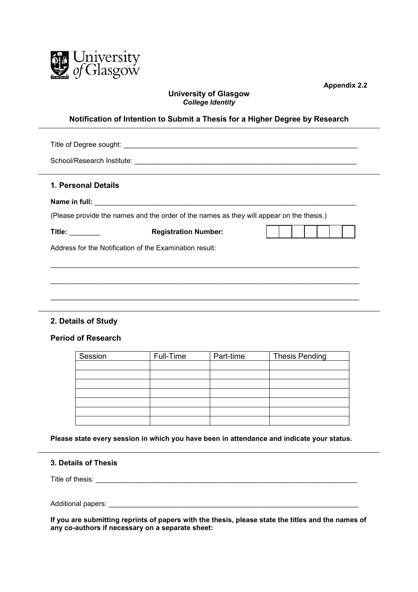

**Appendix 2.2**

# **University of Glasgow** *College Identity*

### **Notification of Intention to Submit a Thesis for a Higher Degree by Research**

| 1. Personal Details                                                                      |                             |  |  |  |  |  |
|------------------------------------------------------------------------------------------|-----------------------------|--|--|--|--|--|
|                                                                                          |                             |  |  |  |  |  |
| (Please provide the names and the order of the names as they will appear on the thesis.) |                             |  |  |  |  |  |
| Title: $\_\_$                                                                            | <b>Registration Number:</b> |  |  |  |  |  |
| Address for the Notification of the Examination result:                                  |                             |  |  |  |  |  |
|                                                                                          |                             |  |  |  |  |  |
|                                                                                          |                             |  |  |  |  |  |
|                                                                                          |                             |  |  |  |  |  |

## **2. Details of Study**

### **Period of Research**

| Session | Full-Time | Part-time | <b>Thesis Pending</b> |
|---------|-----------|-----------|-----------------------|
|         |           |           |                       |
|         |           |           |                       |
|         |           |           |                       |
|         |           |           |                       |
|         |           |           |                       |
|         |           |           |                       |
|         |           |           |                       |

**Please state every session in which you have been in attendance and indicate your status.**

### **3. Details of Thesis**

Title of thesis: \_\_\_\_\_\_\_\_\_\_\_\_\_\_\_\_\_\_\_\_\_\_\_\_\_\_\_\_\_\_\_\_\_\_\_\_\_\_\_\_\_\_\_\_\_\_\_\_\_\_\_\_\_\_\_\_\_\_\_\_\_\_\_\_\_\_\_

Additional papers: **Additional** papers:

**If you are submitting reprints of papers with the thesis, please state the titles and the names of any co-authors if necessary on a separate sheet:**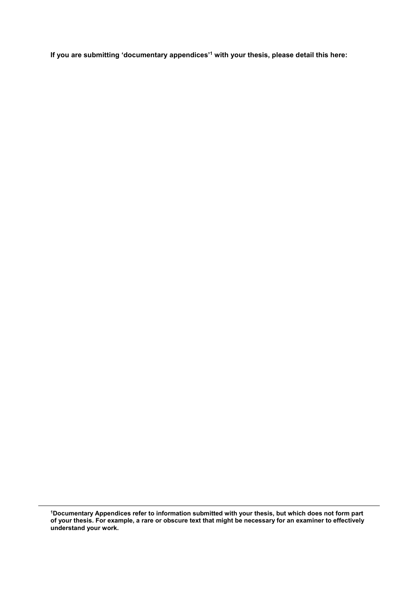**If you are submitting 'documentary appendices' <sup>1</sup> with your thesis, please detail this here:**

**1Documentary Appendices refer to information submitted with your thesis, but which does not form part of your thesis. For example, a rare or obscure text that might be necessary for an examiner to effectively understand your work.**